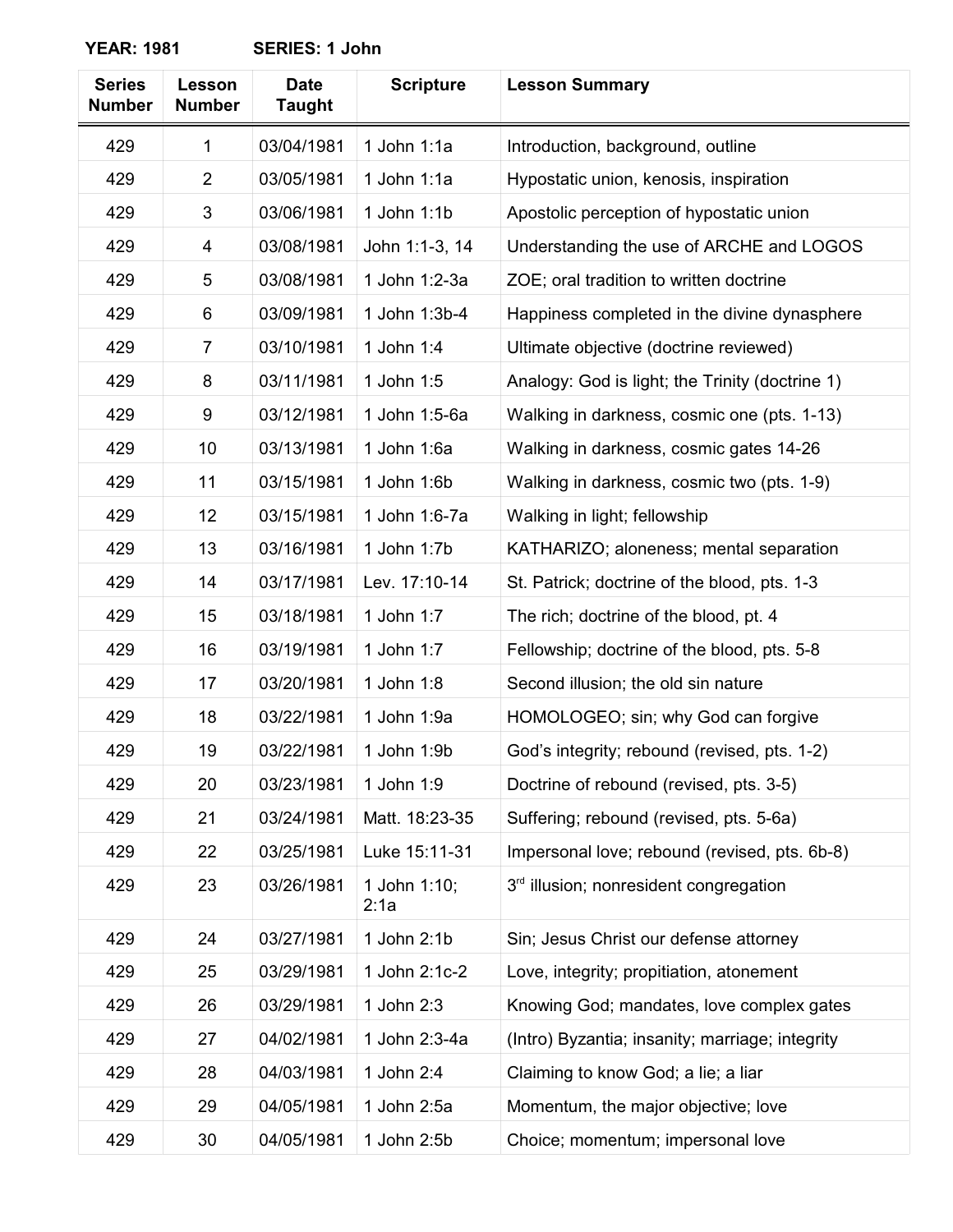| <b>Series</b><br><b>Number</b> | Lesson<br><b>Number</b> | <b>Date</b><br><b>Taught</b> | <b>Scripture</b>     | <b>Lesson Summary</b>                           |
|--------------------------------|-------------------------|------------------------------|----------------------|-------------------------------------------------|
| 429                            | $\mathbf{1}$            | 03/04/1981                   | 1 John $1:1a$        | Introduction, background, outline               |
| 429                            | $\overline{2}$          | 03/05/1981                   | 1 John $1:1a$        | Hypostatic union, kenosis, inspiration          |
| 429                            | 3                       | 03/06/1981                   | 1 John 1:1b          | Apostolic perception of hypostatic union        |
| 429                            | 4                       | 03/08/1981                   | John 1:1-3, 14       | Understanding the use of ARCHE and LOGOS        |
| 429                            | 5                       | 03/08/1981                   | 1 John 1:2-3a        | ZOE; oral tradition to written doctrine         |
| 429                            | 6                       | 03/09/1981                   | 1 John 1:3b-4        | Happiness completed in the divine dynasphere    |
| 429                            | 7                       | 03/10/1981                   | 1 John 1:4           | Ultimate objective (doctrine reviewed)          |
| 429                            | 8                       | 03/11/1981                   | 1 John 1:5           | Analogy: God is light; the Trinity (doctrine 1) |
| 429                            | 9                       | 03/12/1981                   | 1 John 1:5-6a        | Walking in darkness, cosmic one (pts. 1-13)     |
| 429                            | 10                      | 03/13/1981                   | 1 John 1:6a          | Walking in darkness, cosmic gates 14-26         |
| 429                            | 11                      | 03/15/1981                   | 1 John 1:6b          | Walking in darkness, cosmic two (pts. 1-9)      |
| 429                            | 12                      | 03/15/1981                   | 1 John 1:6-7a        | Walking in light; fellowship                    |
| 429                            | 13                      | 03/16/1981                   | 1 John 1:7b          | KATHARIZO; aloneness; mental separation         |
| 429                            | 14                      | 03/17/1981                   | Lev. 17:10-14        | St. Patrick; doctrine of the blood, pts. 1-3    |
| 429                            | 15                      | 03/18/1981                   | 1 John 1:7           | The rich; doctrine of the blood, pt. 4          |
| 429                            | 16                      | 03/19/1981                   | 1 John 1:7           | Fellowship; doctrine of the blood, pts. 5-8     |
| 429                            | 17                      | 03/20/1981                   | 1 John 1:8           | Second illusion; the old sin nature             |
| 429                            | 18                      | 03/22/1981                   | 1 John 1:9a          | HOMOLOGEO; sin; why God can forgive             |
| 429                            | 19                      | 03/22/1981                   | 1 John 1:9b          | God's integrity; rebound (revised, pts. 1-2)    |
| 429                            | 20                      | 03/23/1981                   | 1 John 1:9           | Doctrine of rebound (revised, pts. 3-5)         |
| 429                            | 21                      | 03/24/1981                   | Matt. 18:23-35       | Suffering; rebound (revised, pts. 5-6a)         |
| 429                            | 22                      | 03/25/1981                   | Luke 15:11-31        | Impersonal love; rebound (revised, pts. 6b-8)   |
| 429                            | 23                      | 03/26/1981                   | 1 John 1:10;<br>2:1a | 3rd illusion; nonresident congregation          |
| 429                            | 24                      | 03/27/1981                   | 1 John 2:1b          | Sin; Jesus Christ our defense attorney          |
| 429                            | 25                      | 03/29/1981                   | 1 John 2:1c-2        | Love, integrity; propitiation, atonement        |
| 429                            | 26                      | 03/29/1981                   | 1 John 2:3           | Knowing God; mandates, love complex gates       |
| 429                            | 27                      | 04/02/1981                   | 1 John 2:3-4a        | (Intro) Byzantia; insanity; marriage; integrity |
| 429                            | 28                      | 04/03/1981                   | 1 John 2:4           | Claiming to know God; a lie; a liar             |
| 429                            | 29                      | 04/05/1981                   | 1 John 2:5a          | Momentum, the major objective; love             |
| 429                            | 30                      | 04/05/1981                   | 1 John 2:5b          | Choice; momentum; impersonal love               |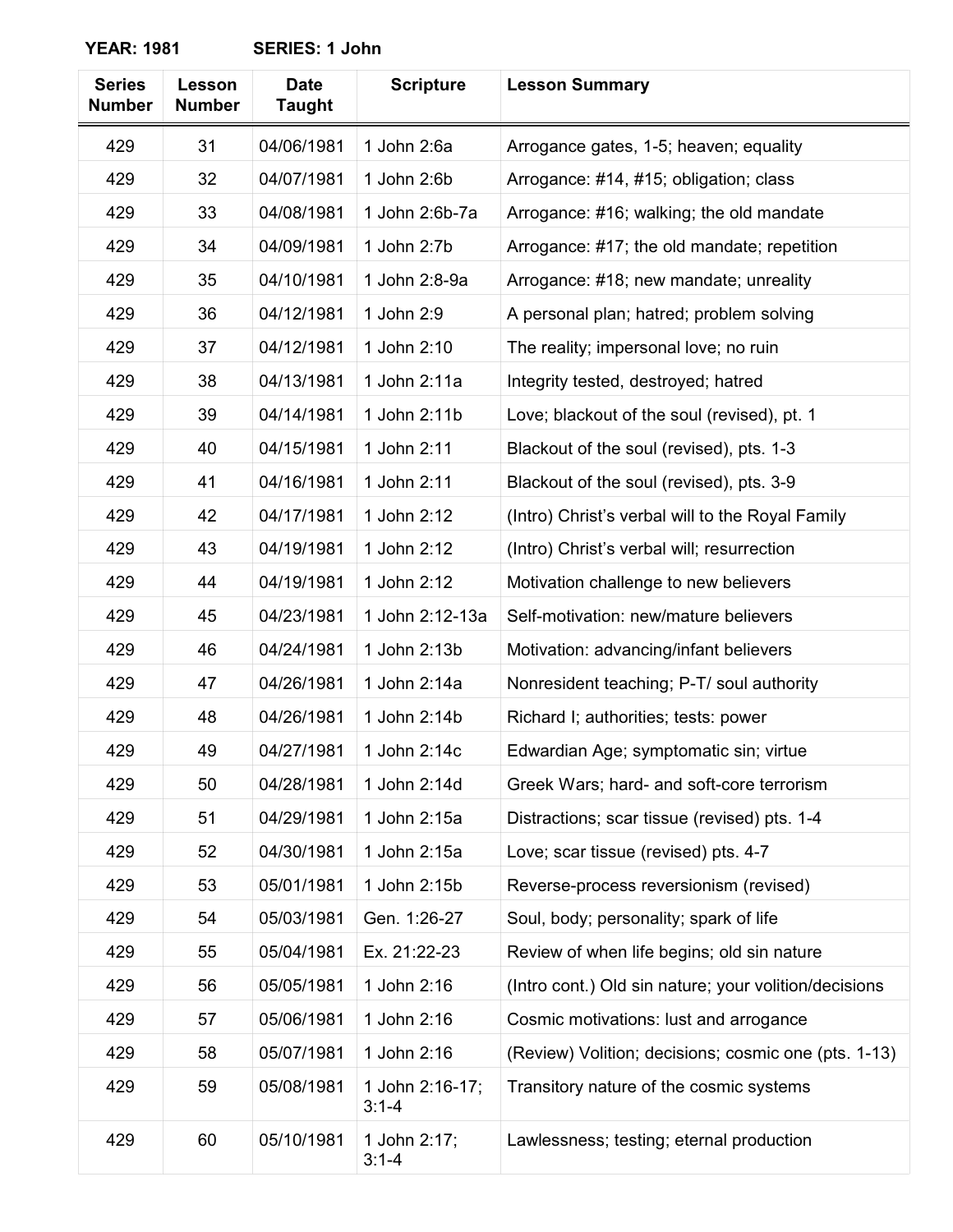| <b>Series</b><br><b>Number</b> | Lesson<br><b>Number</b> | <b>Date</b><br><b>Taught</b> | <b>Scripture</b>             | <b>Lesson Summary</b>                                 |
|--------------------------------|-------------------------|------------------------------|------------------------------|-------------------------------------------------------|
| 429                            | 31                      | 04/06/1981                   | 1 John 2:6a                  | Arrogance gates, 1-5; heaven; equality                |
| 429                            | 32                      | 04/07/1981                   | 1 John 2:6b                  | Arrogance: #14, #15; obligation; class                |
| 429                            | 33                      | 04/08/1981                   | 1 John 2:6b-7a               | Arrogance: #16; walking; the old mandate              |
| 429                            | 34                      | 04/09/1981                   | 1 John 2:7b                  | Arrogance: #17; the old mandate; repetition           |
| 429                            | 35                      | 04/10/1981                   | 1 John 2:8-9a                | Arrogance: #18; new mandate; unreality                |
| 429                            | 36                      | 04/12/1981                   | 1 John 2:9                   | A personal plan; hatred; problem solving              |
| 429                            | 37                      | 04/12/1981                   | 1 John 2:10                  | The reality; impersonal love; no ruin                 |
| 429                            | 38                      | 04/13/1981                   | 1 John 2:11a                 | Integrity tested, destroyed; hatred                   |
| 429                            | 39                      | 04/14/1981                   | 1 John 2:11b                 | Love; blackout of the soul (revised), pt. 1           |
| 429                            | 40                      | 04/15/1981                   | 1 John 2:11                  | Blackout of the soul (revised), pts. 1-3              |
| 429                            | 41                      | 04/16/1981                   | 1 John 2:11                  | Blackout of the soul (revised), pts. 3-9              |
| 429                            | 42                      | 04/17/1981                   | 1 John 2:12                  | (Intro) Christ's verbal will to the Royal Family      |
| 429                            | 43                      | 04/19/1981                   | 1 John 2:12                  | (Intro) Christ's verbal will; resurrection            |
| 429                            | 44                      | 04/19/1981                   | 1 John 2:12                  | Motivation challenge to new believers                 |
| 429                            | 45                      | 04/23/1981                   | 1 John 2:12-13a              | Self-motivation: new/mature believers                 |
| 429                            | 46                      | 04/24/1981                   | 1 John 2:13b                 | Motivation: advancing/infant believers                |
| 429                            | 47                      | 04/26/1981                   | 1 John 2:14a                 | Nonresident teaching; P-T/ soul authority             |
| 429                            | 48                      | 04/26/1981                   | 1 John 2:14b                 | Richard I; authorities; tests: power                  |
| 429                            | 49                      | 04/27/1981                   | 1 John 2:14c                 | Edwardian Age; symptomatic sin; virtue                |
| 429                            | 50                      | 04/28/1981                   | 1 John 2:14d                 | Greek Wars; hard- and soft-core terrorism             |
| 429                            | 51                      | 04/29/1981                   | 1 John 2:15a                 | Distractions; scar tissue (revised) pts. 1-4          |
| 429                            | 52                      | 04/30/1981                   | 1 John 2:15a                 | Love; scar tissue (revised) pts. 4-7                  |
| 429                            | 53                      | 05/01/1981                   | 1 John 2:15b                 | Reverse-process reversionism (revised)                |
| 429                            | 54                      | 05/03/1981                   | Gen. 1:26-27                 | Soul, body; personality; spark of life                |
| 429                            | 55                      | 05/04/1981                   | Ex. 21:22-23                 | Review of when life begins; old sin nature            |
| 429                            | 56                      | 05/05/1981                   | 1 John 2:16                  | (Intro cont.) Old sin nature; your volition/decisions |
| 429                            | 57                      | 05/06/1981                   | 1 John 2:16                  | Cosmic motivations: lust and arrogance                |
| 429                            | 58                      | 05/07/1981                   | 1 John 2:16                  | (Review) Volition; decisions; cosmic one (pts. 1-13)  |
| 429                            | 59                      | 05/08/1981                   | 1 John 2:16-17;<br>$3:1 - 4$ | Transitory nature of the cosmic systems               |
| 429                            | 60                      | 05/10/1981                   | 1 John 2:17;<br>$3:1 - 4$    | Lawlessness; testing; eternal production              |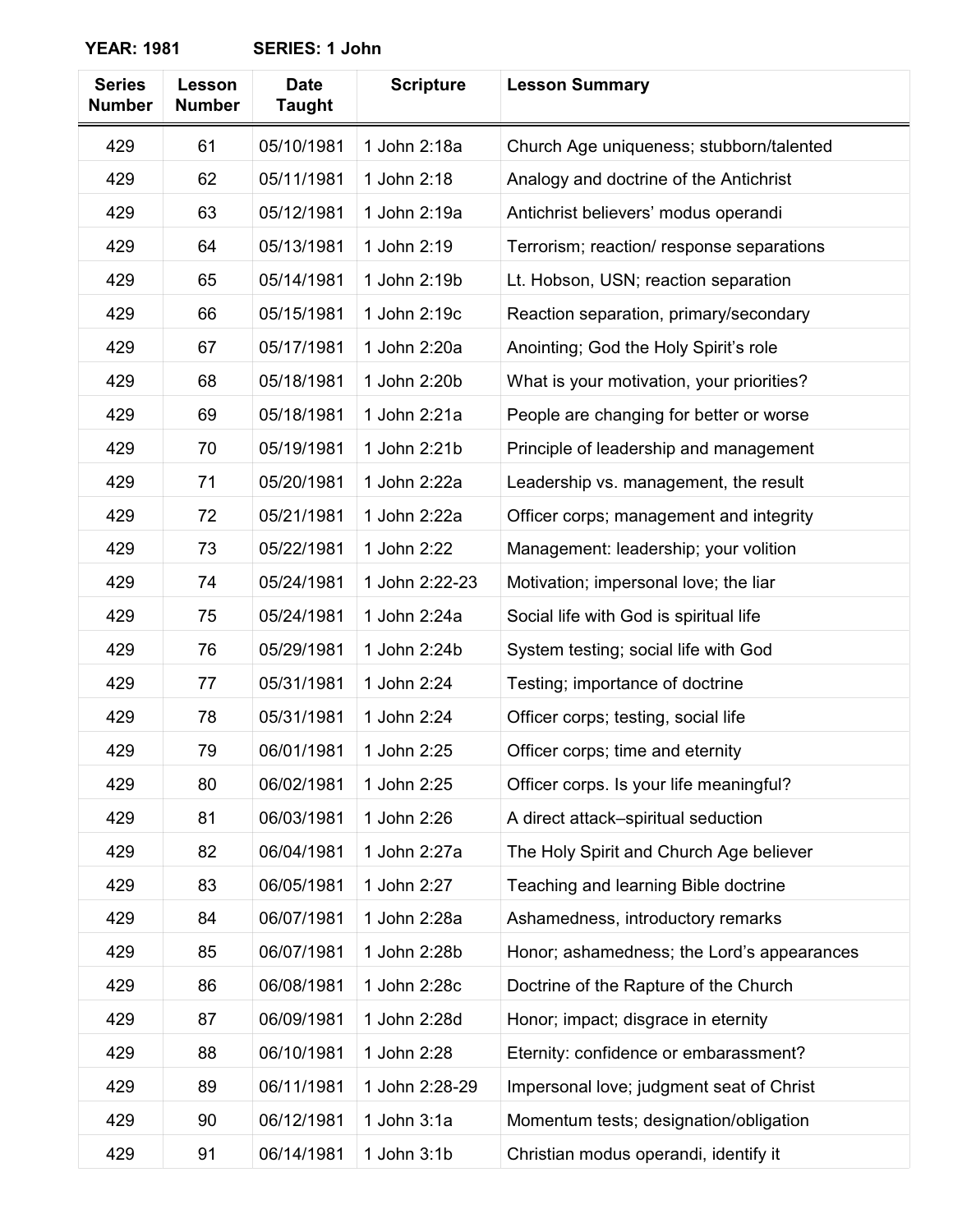| <b>Series</b><br><b>Number</b> | Lesson<br><b>Number</b> | <b>Date</b><br><b>Taught</b> | <b>Scripture</b> | <b>Lesson Summary</b>                      |
|--------------------------------|-------------------------|------------------------------|------------------|--------------------------------------------|
| 429                            | 61                      | 05/10/1981                   | 1 John 2:18a     | Church Age uniqueness; stubborn/talented   |
| 429                            | 62                      | 05/11/1981                   | 1 John 2:18      | Analogy and doctrine of the Antichrist     |
| 429                            | 63                      | 05/12/1981                   | 1 John 2:19a     | Antichrist believers' modus operandi       |
| 429                            | 64                      | 05/13/1981                   | 1 John 2:19      | Terrorism; reaction/ response separations  |
| 429                            | 65                      | 05/14/1981                   | 1 John 2:19b     | Lt. Hobson, USN; reaction separation       |
| 429                            | 66                      | 05/15/1981                   | 1 John 2:19c     | Reaction separation, primary/secondary     |
| 429                            | 67                      | 05/17/1981                   | 1 John 2:20a     | Anointing; God the Holy Spirit's role      |
| 429                            | 68                      | 05/18/1981                   | 1 John 2:20b     | What is your motivation, your priorities?  |
| 429                            | 69                      | 05/18/1981                   | 1 John 2:21a     | People are changing for better or worse    |
| 429                            | 70                      | 05/19/1981                   | 1 John 2:21b     | Principle of leadership and management     |
| 429                            | 71                      | 05/20/1981                   | 1 John 2:22a     | Leadership vs. management, the result      |
| 429                            | 72                      | 05/21/1981                   | 1 John 2:22a     | Officer corps; management and integrity    |
| 429                            | 73                      | 05/22/1981                   | 1 John 2:22      | Management: leadership; your volition      |
| 429                            | 74                      | 05/24/1981                   | 1 John 2:22-23   | Motivation; impersonal love; the liar      |
| 429                            | 75                      | 05/24/1981                   | 1 John 2:24a     | Social life with God is spiritual life     |
| 429                            | 76                      | 05/29/1981                   | 1 John 2:24b     | System testing; social life with God       |
| 429                            | 77                      | 05/31/1981                   | 1 John 2:24      | Testing; importance of doctrine            |
| 429                            | 78                      | 05/31/1981                   | 1 John 2:24      | Officer corps; testing, social life        |
| 429                            | 79                      | 06/01/1981                   | 1 John 2:25      | Officer corps; time and eternity           |
| 429                            | 80                      | 06/02/1981                   | 1 John 2:25      | Officer corps. Is your life meaningful?    |
| 429                            | 81                      | 06/03/1981                   | 1 John 2:26      | A direct attack-spiritual seduction        |
| 429                            | 82                      | 06/04/1981                   | 1 John 2:27a     | The Holy Spirit and Church Age believer    |
| 429                            | 83                      | 06/05/1981                   | 1 John 2:27      | Teaching and learning Bible doctrine       |
| 429                            | 84                      | 06/07/1981                   | 1 John 2:28a     | Ashamedness, introductory remarks          |
| 429                            | 85                      | 06/07/1981                   | 1 John 2:28b     | Honor; ashamedness; the Lord's appearances |
| 429                            | 86                      | 06/08/1981                   | 1 John 2:28c     | Doctrine of the Rapture of the Church      |
| 429                            | 87                      | 06/09/1981                   | 1 John 2:28d     | Honor; impact; disgrace in eternity        |
| 429                            | 88                      | 06/10/1981                   | 1 John 2:28      | Eternity: confidence or embarassment?      |
| 429                            | 89                      | 06/11/1981                   | 1 John 2:28-29   | Impersonal love; judgment seat of Christ   |
| 429                            | 90                      | 06/12/1981                   | 1 John 3:1a      | Momentum tests; designation/obligation     |
| 429                            | 91                      | 06/14/1981                   | 1 John 3:1b      | Christian modus operandi, identify it      |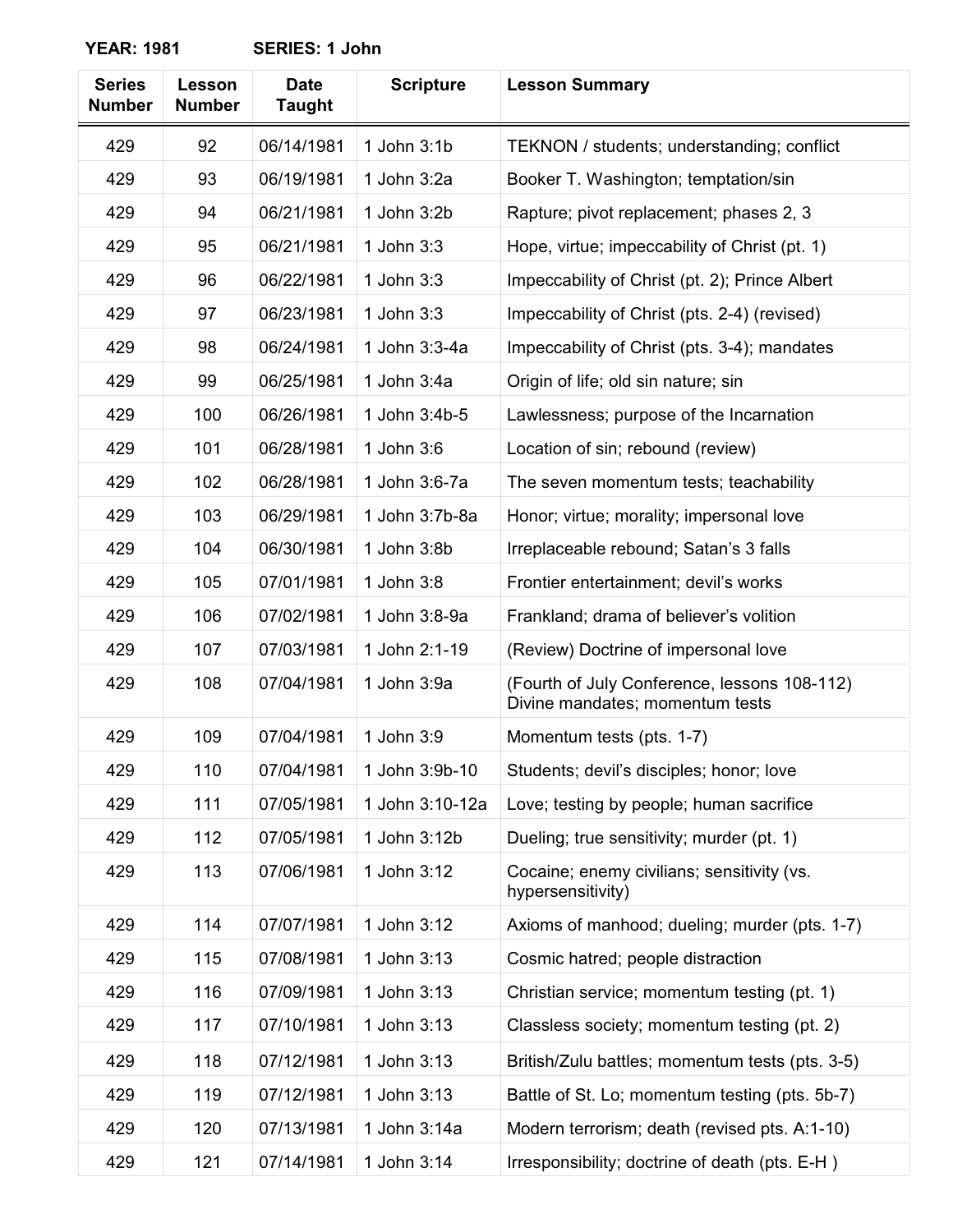| <b>Series</b><br><b>Number</b> | Lesson<br><b>Number</b> | <b>Date</b><br><b>Taught</b> | <b>Scripture</b> | <b>Lesson Summary</b>                                                           |
|--------------------------------|-------------------------|------------------------------|------------------|---------------------------------------------------------------------------------|
| 429                            | 92                      | 06/14/1981                   | 1 John 3:1b      | TEKNON / students; understanding; conflict                                      |
| 429                            | 93                      | 06/19/1981                   | 1 John 3:2a      | Booker T. Washington; temptation/sin                                            |
| 429                            | 94                      | 06/21/1981                   | 1 John 3:2b      | Rapture; pivot replacement; phases 2, 3                                         |
| 429                            | 95                      | 06/21/1981                   | 1 John 3:3       | Hope, virtue; impeccability of Christ (pt. 1)                                   |
| 429                            | 96                      | 06/22/1981                   | 1 John 3:3       | Impeccability of Christ (pt. 2); Prince Albert                                  |
| 429                            | 97                      | 06/23/1981                   | 1 John 3:3       | Impeccability of Christ (pts. 2-4) (revised)                                    |
| 429                            | 98                      | 06/24/1981                   | 1 John 3:3-4a    | Impeccability of Christ (pts. 3-4); mandates                                    |
| 429                            | 99                      | 06/25/1981                   | 1 John 3:4a      | Origin of life; old sin nature; sin                                             |
| 429                            | 100                     | 06/26/1981                   | 1 John 3:4b-5    | Lawlessness; purpose of the Incarnation                                         |
| 429                            | 101                     | 06/28/1981                   | 1 John 3:6       | Location of sin; rebound (review)                                               |
| 429                            | 102                     | 06/28/1981                   | 1 John 3:6-7a    | The seven momentum tests; teachability                                          |
| 429                            | 103                     | 06/29/1981                   | 1 John 3:7b-8a   | Honor; virtue; morality; impersonal love                                        |
| 429                            | 104                     | 06/30/1981                   | 1 John 3:8b      | Irreplaceable rebound; Satan's 3 falls                                          |
| 429                            | 105                     | 07/01/1981                   | 1 John 3:8       | Frontier entertainment; devil's works                                           |
| 429                            | 106                     | 07/02/1981                   | 1 John 3:8-9a    | Frankland; drama of believer's volition                                         |
| 429                            | 107                     | 07/03/1981                   | 1 John 2:1-19    | (Review) Doctrine of impersonal love                                            |
| 429                            | 108                     | 07/04/1981                   | 1 John 3:9a      | (Fourth of July Conference, lessons 108-112)<br>Divine mandates; momentum tests |
| 429                            | 109                     | 07/04/1981                   | 1 John 3:9       | Momentum tests (pts. 1-7)                                                       |
| 429                            | 110                     | 07/04/1981                   | 1 John 3:9b-10   | Students; devil's disciples; honor; love                                        |
| 429                            | 111                     | 07/05/1981                   | 1 John 3:10-12a  | Love; testing by people; human sacrifice                                        |
| 429                            | 112                     | 07/05/1981                   | 1 John 3:12b     | Dueling; true sensitivity; murder (pt. 1)                                       |
| 429                            | 113                     | 07/06/1981                   | 1 John 3:12      | Cocaine; enemy civilians; sensitivity (vs.<br>hypersensitivity)                 |
| 429                            | 114                     | 07/07/1981                   | 1 John 3:12      | Axioms of manhood; dueling; murder (pts. 1-7)                                   |
| 429                            | 115                     | 07/08/1981                   | 1 John 3:13      | Cosmic hatred; people distraction                                               |
| 429                            | 116                     | 07/09/1981                   | 1 John 3:13      | Christian service; momentum testing (pt. 1)                                     |
| 429                            | 117                     | 07/10/1981                   | 1 John 3:13      | Classless society; momentum testing (pt. 2)                                     |
| 429                            | 118                     | 07/12/1981                   | 1 John 3:13      | British/Zulu battles; momentum tests (pts. 3-5)                                 |
| 429                            | 119                     | 07/12/1981                   | 1 John 3:13      | Battle of St. Lo; momentum testing (pts. 5b-7)                                  |
| 429                            | 120                     | 07/13/1981                   | 1 John 3:14a     | Modern terrorism; death (revised pts. A:1-10)                                   |
| 429                            | 121                     | 07/14/1981                   | 1 John 3:14      | Irresponsibility; doctrine of death (pts. E-H)                                  |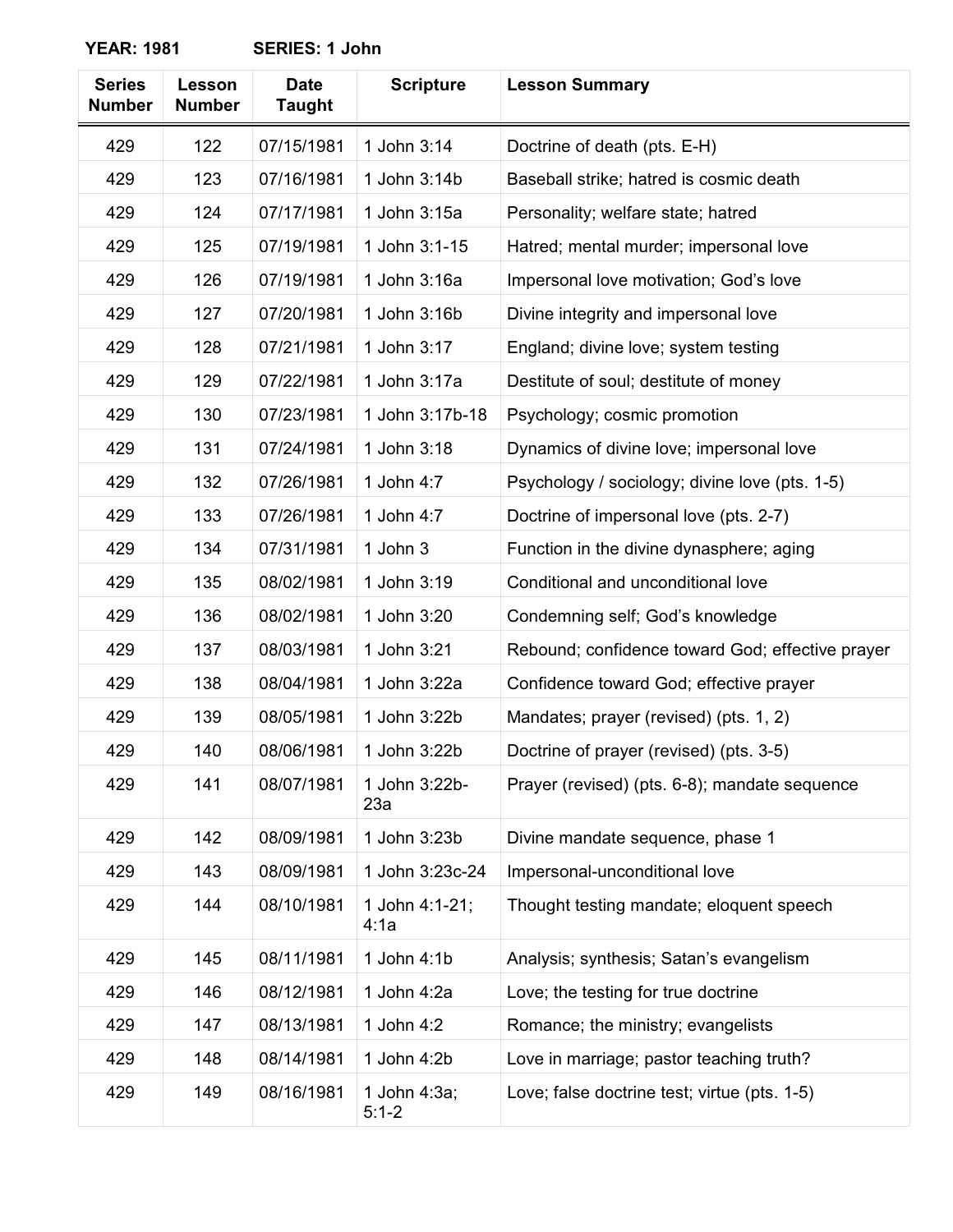| <b>Series</b><br><b>Number</b> | Lesson<br><b>Number</b> | <b>Date</b><br><b>Taught</b> | <b>Scripture</b>          | <b>Lesson Summary</b>                            |
|--------------------------------|-------------------------|------------------------------|---------------------------|--------------------------------------------------|
| 429                            | 122                     | 07/15/1981                   | 1 John 3:14               | Doctrine of death (pts. E-H)                     |
| 429                            | 123                     | 07/16/1981                   | 1 John 3:14b              | Baseball strike; hatred is cosmic death          |
| 429                            | 124                     | 07/17/1981                   | 1 John 3:15a              | Personality; welfare state; hatred               |
| 429                            | 125                     | 07/19/1981                   | 1 John 3:1-15             | Hatred; mental murder; impersonal love           |
| 429                            | 126                     | 07/19/1981                   | 1 John 3:16a              | Impersonal love motivation; God's love           |
| 429                            | 127                     | 07/20/1981                   | 1 John 3:16b              | Divine integrity and impersonal love             |
| 429                            | 128                     | 07/21/1981                   | 1 John 3:17               | England; divine love; system testing             |
| 429                            | 129                     | 07/22/1981                   | 1 John 3:17a              | Destitute of soul; destitute of money            |
| 429                            | 130                     | 07/23/1981                   | 1 John 3:17b-18           | Psychology; cosmic promotion                     |
| 429                            | 131                     | 07/24/1981                   | 1 John 3:18               | Dynamics of divine love; impersonal love         |
| 429                            | 132                     | 07/26/1981                   | 1 John 4:7                | Psychology / sociology; divine love (pts. 1-5)   |
| 429                            | 133                     | 07/26/1981                   | 1 John 4:7                | Doctrine of impersonal love (pts. 2-7)           |
| 429                            | 134                     | 07/31/1981                   | 1 John 3                  | Function in the divine dynasphere; aging         |
| 429                            | 135                     | 08/02/1981                   | 1 John 3:19               | Conditional and unconditional love               |
| 429                            | 136                     | 08/02/1981                   | 1 John 3:20               | Condemning self; God's knowledge                 |
| 429                            | 137                     | 08/03/1981                   | 1 John 3:21               | Rebound; confidence toward God; effective prayer |
| 429                            | 138                     | 08/04/1981                   | 1 John 3:22a              | Confidence toward God; effective prayer          |
| 429                            | 139                     | 08/05/1981                   | 1 John 3:22b              | Mandates; prayer (revised) (pts. 1, 2)           |
| 429                            | 140                     | 08/06/1981                   | 1 John 3:22b              | Doctrine of prayer (revised) (pts. 3-5)          |
| 429                            | 141                     | 08/07/1981                   | 1 John 3:22b-<br>23a      | Prayer (revised) (pts. 6-8); mandate sequence    |
| 429                            | 142                     | 08/09/1981                   | 1 John 3:23b              | Divine mandate sequence, phase 1                 |
| 429                            | 143                     | 08/09/1981                   | 1 John 3:23c-24           | Impersonal-unconditional love                    |
| 429                            | 144                     | 08/10/1981                   | 1 John 4:1-21;<br>4:1a    | Thought testing mandate; eloquent speech         |
| 429                            | 145                     | 08/11/1981                   | 1 John 4:1b               | Analysis; synthesis; Satan's evangelism          |
| 429                            | 146                     | 08/12/1981                   | 1 John 4:2a               | Love; the testing for true doctrine              |
| 429                            | 147                     | 08/13/1981                   | 1 John 4:2                | Romance; the ministry; evangelists               |
| 429                            | 148                     | 08/14/1981                   | 1 John 4:2b               | Love in marriage; pastor teaching truth?         |
| 429                            | 149                     | 08/16/1981                   | 1 John 4:3a;<br>$5:1 - 2$ | Love; false doctrine test; virtue (pts. 1-5)     |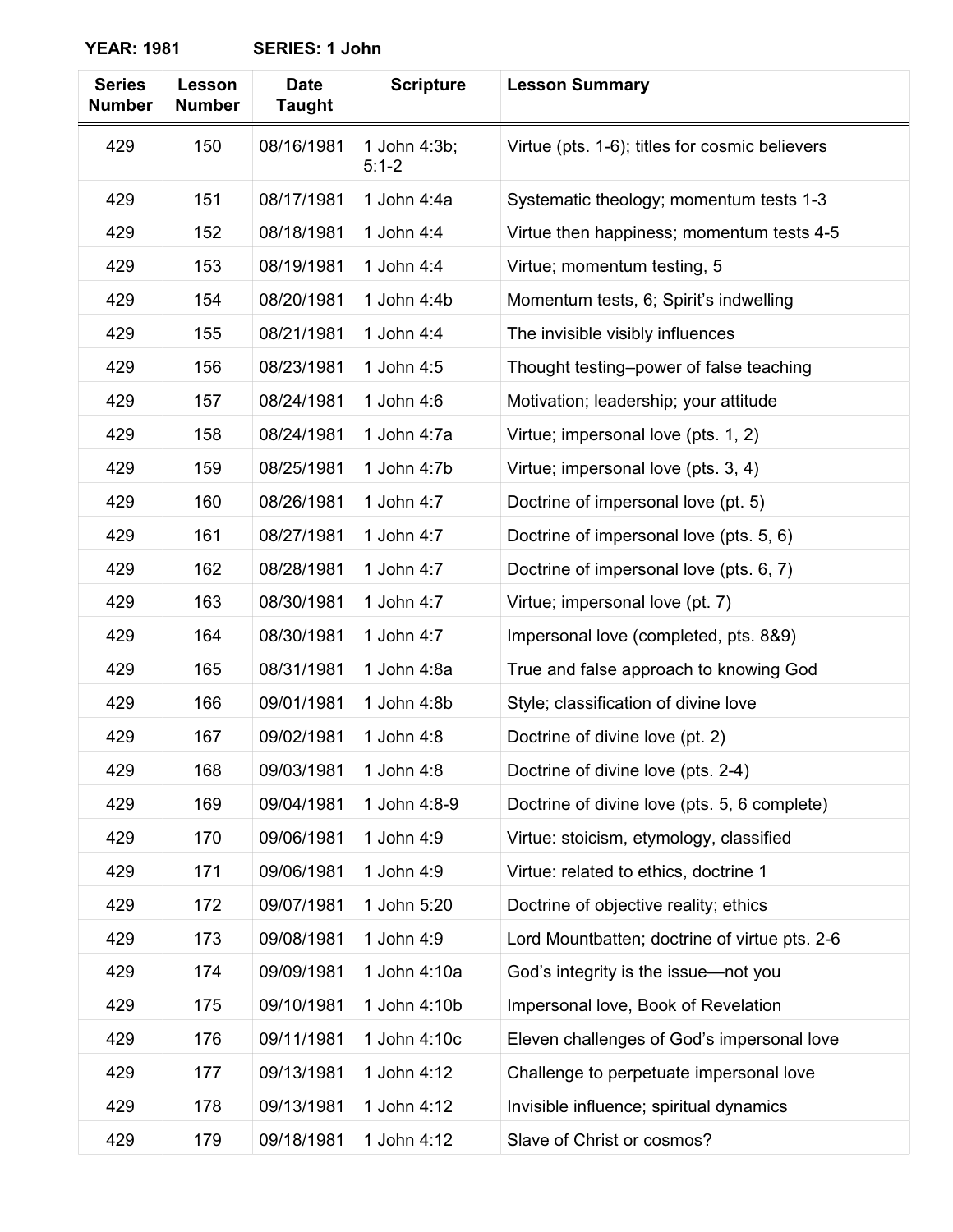| <b>Series</b><br><b>Number</b> | Lesson<br><b>Number</b> | <b>Date</b><br><b>Taught</b> | <b>Scripture</b>          | <b>Lesson Summary</b>                          |
|--------------------------------|-------------------------|------------------------------|---------------------------|------------------------------------------------|
| 429                            | 150                     | 08/16/1981                   | 1 John 4:3b;<br>$5:1 - 2$ | Virtue (pts. 1-6); titles for cosmic believers |
| 429                            | 151                     | 08/17/1981                   | 1 John 4:4a               | Systematic theology; momentum tests 1-3        |
| 429                            | 152                     | 08/18/1981                   | 1 John 4:4                | Virtue then happiness; momentum tests 4-5      |
| 429                            | 153                     | 08/19/1981                   | 1 John 4:4                | Virtue; momentum testing, 5                    |
| 429                            | 154                     | 08/20/1981                   | 1 John 4:4b               | Momentum tests, 6; Spirit's indwelling         |
| 429                            | 155                     | 08/21/1981                   | 1 John 4:4                | The invisible visibly influences               |
| 429                            | 156                     | 08/23/1981                   | 1 John 4:5                | Thought testing-power of false teaching        |
| 429                            | 157                     | 08/24/1981                   | 1 John 4:6                | Motivation; leadership; your attitude          |
| 429                            | 158                     | 08/24/1981                   | 1 John 4:7a               | Virtue; impersonal love (pts. 1, 2)            |
| 429                            | 159                     | 08/25/1981                   | 1 John 4:7b               | Virtue; impersonal love (pts. 3, 4)            |
| 429                            | 160                     | 08/26/1981                   | 1 John 4:7                | Doctrine of impersonal love (pt. 5)            |
| 429                            | 161                     | 08/27/1981                   | 1 John 4:7                | Doctrine of impersonal love (pts. 5, 6)        |
| 429                            | 162                     | 08/28/1981                   | 1 John 4:7                | Doctrine of impersonal love (pts. 6, 7)        |
| 429                            | 163                     | 08/30/1981                   | 1 John 4:7                | Virtue; impersonal love (pt. 7)                |
| 429                            | 164                     | 08/30/1981                   | 1 John 4:7                | Impersonal love (completed, pts. 8&9)          |
| 429                            | 165                     | 08/31/1981                   | 1 John 4:8a               | True and false approach to knowing God         |
| 429                            | 166                     | 09/01/1981                   | 1 John 4:8b               | Style; classification of divine love           |
| 429                            | 167                     | 09/02/1981                   | 1 John 4:8                | Doctrine of divine love (pt. 2)                |
| 429                            | 168                     | 09/03/1981                   | 1 John 4:8                | Doctrine of divine love (pts. 2-4)             |
| 429                            | 169                     | 09/04/1981                   | 1 John 4:8-9              | Doctrine of divine love (pts. 5, 6 complete)   |
| 429                            | 170                     | 09/06/1981                   | 1 John 4:9                | Virtue: stoicism, etymology, classified        |
| 429                            | 171                     | 09/06/1981                   | 1 John 4:9                | Virtue: related to ethics, doctrine 1          |
| 429                            | 172                     | 09/07/1981                   | 1 John 5:20               | Doctrine of objective reality; ethics          |
| 429                            | 173                     | 09/08/1981                   | 1 John 4:9                | Lord Mountbatten; doctrine of virtue pts. 2-6  |
| 429                            | 174                     | 09/09/1981                   | 1 John 4:10a              | God's integrity is the issue-not you           |
| 429                            | 175                     | 09/10/1981                   | 1 John 4:10b              | Impersonal love, Book of Revelation            |
| 429                            | 176                     | 09/11/1981                   | 1 John 4:10c              | Eleven challenges of God's impersonal love     |
| 429                            | 177                     | 09/13/1981                   | 1 John 4:12               | Challenge to perpetuate impersonal love        |
| 429                            | 178                     | 09/13/1981                   | 1 John 4:12               | Invisible influence; spiritual dynamics        |
| 429                            | 179                     | 09/18/1981                   | 1 John 4:12               | Slave of Christ or cosmos?                     |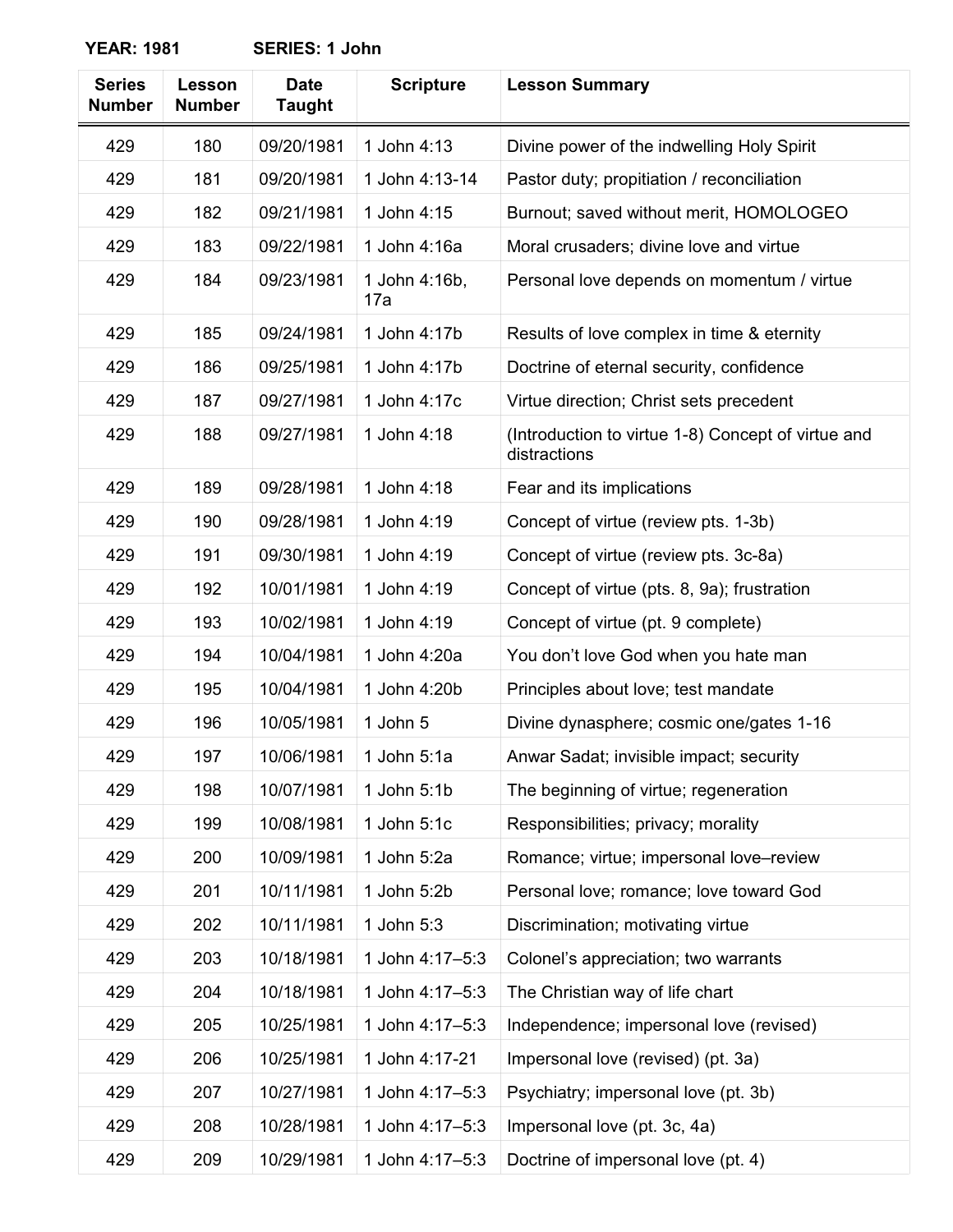| <b>Series</b><br><b>Number</b> | Lesson<br><b>Number</b> | <b>Date</b><br><b>Taught</b> | <b>Scripture</b>     | <b>Lesson Summary</b>                                              |
|--------------------------------|-------------------------|------------------------------|----------------------|--------------------------------------------------------------------|
| 429                            | 180                     | 09/20/1981                   | 1 John 4:13          | Divine power of the indwelling Holy Spirit                         |
| 429                            | 181                     | 09/20/1981                   | 1 John 4:13-14       | Pastor duty; propitiation / reconciliation                         |
| 429                            | 182                     | 09/21/1981                   | 1 John 4:15          | Burnout; saved without merit, HOMOLOGEO                            |
| 429                            | 183                     | 09/22/1981                   | 1 John 4:16a         | Moral crusaders; divine love and virtue                            |
| 429                            | 184                     | 09/23/1981                   | 1 John 4:16b,<br>17a | Personal love depends on momentum / virtue                         |
| 429                            | 185                     | 09/24/1981                   | 1 John 4:17b         | Results of love complex in time & eternity                         |
| 429                            | 186                     | 09/25/1981                   | 1 John 4:17b         | Doctrine of eternal security, confidence                           |
| 429                            | 187                     | 09/27/1981                   | 1 John 4:17c         | Virtue direction; Christ sets precedent                            |
| 429                            | 188                     | 09/27/1981                   | 1 John 4:18          | (Introduction to virtue 1-8) Concept of virtue and<br>distractions |
| 429                            | 189                     | 09/28/1981                   | 1 John 4:18          | Fear and its implications                                          |
| 429                            | 190                     | 09/28/1981                   | 1 John 4:19          | Concept of virtue (review pts. 1-3b)                               |
| 429                            | 191                     | 09/30/1981                   | 1 John 4:19          | Concept of virtue (review pts. 3c-8a)                              |
| 429                            | 192                     | 10/01/1981                   | 1 John 4:19          | Concept of virtue (pts. 8, 9a); frustration                        |
| 429                            | 193                     | 10/02/1981                   | 1 John 4:19          | Concept of virtue (pt. 9 complete)                                 |
| 429                            | 194                     | 10/04/1981                   | 1 John 4:20a         | You don't love God when you hate man                               |
| 429                            | 195                     | 10/04/1981                   | 1 John 4:20b         | Principles about love; test mandate                                |
| 429                            | 196                     | 10/05/1981                   | 1 John 5             | Divine dynasphere; cosmic one/gates 1-16                           |
| 429                            | 197                     | 10/06/1981                   | 1 John $5:1a$        | Anwar Sadat; invisible impact; security                            |
| 429                            | 198                     | 10/07/1981                   | 1 John 5:1b          | The beginning of virtue; regeneration                              |
| 429                            | 199                     | 10/08/1981                   | 1 John 5:1c          | Responsibilities; privacy; morality                                |
| 429                            | 200                     | 10/09/1981                   | 1 John 5:2a          | Romance; virtue; impersonal love-review                            |
| 429                            | 201                     | 10/11/1981                   | 1 John 5:2b          | Personal love; romance; love toward God                            |
| 429                            | 202                     | 10/11/1981                   | 1 John 5:3           | Discrimination; motivating virtue                                  |
| 429                            | 203                     | 10/18/1981                   | 1 John 4:17-5:3      | Colonel's appreciation; two warrants                               |
| 429                            | 204                     | 10/18/1981                   | 1 John 4:17-5:3      | The Christian way of life chart                                    |
| 429                            | 205                     | 10/25/1981                   | 1 John 4:17-5:3      | Independence; impersonal love (revised)                            |
| 429                            | 206                     | 10/25/1981                   | 1 John 4:17-21       | Impersonal love (revised) (pt. 3a)                                 |
| 429                            | 207                     | 10/27/1981                   | 1 John 4:17-5:3      | Psychiatry; impersonal love (pt. 3b)                               |
| 429                            | 208                     | 10/28/1981                   | 1 John 4:17-5:3      | Impersonal love (pt. 3c, 4a)                                       |
| 429                            | 209                     | 10/29/1981                   | 1 John 4:17-5:3      | Doctrine of impersonal love (pt. 4)                                |